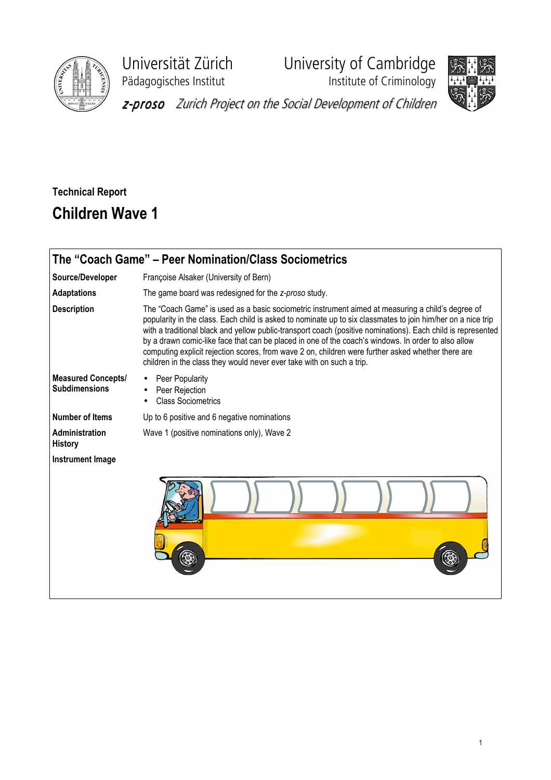

Universität Zürich University of Cambridge





z-proso Zurich Project on the Social Development of Children

## Technical Report Children Wave 1

| The "Coach Game" - Peer Nomination/Class Sociometrics |                                                                                                                                                                                                                                                                                                                                                                                                                                                                                                                                                                                                                         |  |  |  |  |  |  |  |  |  |  |
|-------------------------------------------------------|-------------------------------------------------------------------------------------------------------------------------------------------------------------------------------------------------------------------------------------------------------------------------------------------------------------------------------------------------------------------------------------------------------------------------------------------------------------------------------------------------------------------------------------------------------------------------------------------------------------------------|--|--|--|--|--|--|--|--|--|--|
| Source/Developer                                      | Françoise Alsaker (University of Bern)                                                                                                                                                                                                                                                                                                                                                                                                                                                                                                                                                                                  |  |  |  |  |  |  |  |  |  |  |
| <b>Adaptations</b>                                    | The game board was redesigned for the z-proso study.                                                                                                                                                                                                                                                                                                                                                                                                                                                                                                                                                                    |  |  |  |  |  |  |  |  |  |  |
| <b>Description</b>                                    | The "Coach Game" is used as a basic sociometric instrument aimed at measuring a child's degree of<br>popularity in the class. Each child is asked to nominate up to six classmates to join him/her on a nice trip<br>with a traditional black and yellow public-transport coach (positive nominations). Each child is represented<br>by a drawn comic-like face that can be placed in one of the coach's windows. In order to also allow<br>computing explicit rejection scores, from wave 2 on, children were further asked whether there are<br>children in the class they would never ever take with on such a trip. |  |  |  |  |  |  |  |  |  |  |
| <b>Measured Concepts/</b><br><b>Subdimensions</b>     | Peer Popularity<br>Peer Rejection<br><b>Class Sociometrics</b>                                                                                                                                                                                                                                                                                                                                                                                                                                                                                                                                                          |  |  |  |  |  |  |  |  |  |  |
| <b>Number of Items</b>                                | Up to 6 positive and 6 negative nominations                                                                                                                                                                                                                                                                                                                                                                                                                                                                                                                                                                             |  |  |  |  |  |  |  |  |  |  |
| Administration<br><b>History</b>                      | Wave 1 (positive nominations only), Wave 2                                                                                                                                                                                                                                                                                                                                                                                                                                                                                                                                                                              |  |  |  |  |  |  |  |  |  |  |
| Instrument Image                                      |                                                                                                                                                                                                                                                                                                                                                                                                                                                                                                                                                                                                                         |  |  |  |  |  |  |  |  |  |  |
|                                                       |                                                                                                                                                                                                                                                                                                                                                                                                                                                                                                                                                                                                                         |  |  |  |  |  |  |  |  |  |  |